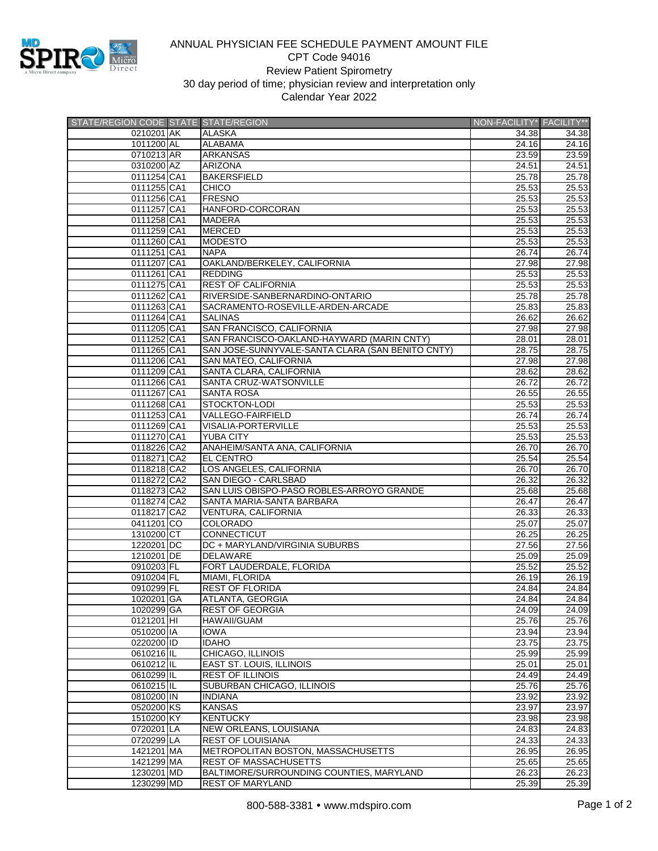

## ANNUAL PHYSICIAN FEE SCHEDULE PAYMENT AMOUNT FILE CPT Code 94016 Review Patient Spirometry 30 day period of time; physician review and interpretation only Calendar Year 2022

| STATE/REGION CODE STATE STATE/REGION |                                                  | NON-FACILITY* FACILITY** |       |
|--------------------------------------|--------------------------------------------------|--------------------------|-------|
| 0210201 AK                           | <b>ALASKA</b>                                    | 34.38                    | 34.38 |
| 1011200 AL                           | <b>ALABAMA</b>                                   | 24.16                    | 24.16 |
| 0710213 AR                           | <b>ARKANSAS</b>                                  | 23.59                    | 23.59 |
| 0310200 AZ                           | <b>ARIZONA</b>                                   | 24.51                    | 24.51 |
| 0111254 CA1                          | <b>BAKERSFIELD</b>                               | 25.78                    | 25.78 |
| 0111255 CA1                          | <b>CHICO</b>                                     | 25.53                    | 25.53 |
| 0111256 CA1                          | <b>FRESNO</b>                                    | 25.53                    | 25.53 |
| 0111257 CA1                          | HANFORD-CORCORAN                                 | 25.53                    | 25.53 |
| 0111258 CA1                          | <b>MADERA</b>                                    | 25.53                    | 25.53 |
| 0111259 CA1                          | <b>MERCED</b>                                    | 25.53                    | 25.53 |
| 0111260 CA1                          | <b>MODESTO</b>                                   | 25.53                    | 25.53 |
| 0111251 CA1                          | <b>NAPA</b>                                      | 26.74                    | 26.74 |
| 0111207 CA1                          | OAKLAND/BERKELEY, CALIFORNIA                     | 27.98                    | 27.98 |
| 0111261 CA1                          | <b>REDDING</b>                                   | 25.53                    | 25.53 |
| 0111275 CA1                          | <b>REST OF CALIFORNIA</b>                        | 25.53                    | 25.53 |
| 0111262 CA1                          | RIVERSIDE-SANBERNARDINO-ONTARIO                  | 25.78                    | 25.78 |
| 0111263 CA1                          | SACRAMENTO-ROSEVILLE-ARDEN-ARCADE                | 25.83                    | 25.83 |
| 0111264 CA1                          | <b>SALINAS</b>                                   | 26.62                    | 26.62 |
| 0111205 CA1                          | SAN FRANCISCO, CALIFORNIA                        | 27.98                    | 27.98 |
| 0111252 CA1                          | SAN FRANCISCO-OAKLAND-HAYWARD (MARIN CNTY)       | 28.01                    | 28.01 |
| 0111265 CA1                          | SAN JOSE-SUNNYVALE-SANTA CLARA (SAN BENITO CNTY) | 28.75                    | 28.75 |
| 0111206 CA1                          | SAN MATEO, CALIFORNIA                            | 27.98                    | 27.98 |
| 0111209 CA1                          | SANTA CLARA, CALIFORNIA                          | 28.62                    | 28.62 |
| 0111266 CA1                          | SANTA CRUZ-WATSONVILLE                           | 26.72                    | 26.72 |
| 0111267 CA1                          | <b>SANTA ROSA</b>                                | 26.55                    | 26.55 |
| 0111268 CA1                          | STOCKTON-LODI                                    | 25.53                    | 25.53 |
| 0111253 CA1                          | VALLEGO-FAIRFIELD                                | 26.74                    | 26.74 |
| 0111269 CA1                          | <b>VISALIA-PORTERVILLE</b>                       | 25.53                    | 25.53 |
| 0111270 CA1                          | <b>YUBA CITY</b>                                 | 25.53                    | 25.53 |
| 0118226 CA2                          | ANAHEIM/SANTA ANA, CALIFORNIA                    | 26.70                    | 26.70 |
| 0118271 CA2                          | EL CENTRO                                        | 25.54                    | 25.54 |
| 0118218 CA2                          | LOS ANGELES, CALIFORNIA                          | 26.70                    | 26.70 |
| 0118272 CA2                          | SAN DIEGO - CARLSBAD                             | 26.32                    | 26.32 |
| 0118273 CA2                          | SAN LUIS OBISPO-PASO ROBLES-ARROYO GRANDE        | 25.68                    | 25.68 |
| 0118274 CA2                          | SANTA MARIA-SANTA BARBARA                        | 26.47                    | 26.47 |
| 0118217 CA2                          | <b>VENTURA, CALIFORNIA</b>                       | 26.33                    | 26.33 |
| 0411201 CO                           | COLORADO                                         | 25.07                    | 25.07 |
| 1310200 CT                           | <b>CONNECTICUT</b>                               | 26.25                    | 26.25 |
| 1220201 DC                           | DC + MARYLAND/VIRGINIA SUBURBS                   | 27.56                    | 27.56 |
| 1210201 DE                           | <b>DELAWARE</b>                                  | 25.09                    | 25.09 |
| 0910203 FL                           | FORT LAUDERDALE, FLORIDA                         | 25.52                    | 25.52 |
| 0910204 FL                           | MIAMI, FLORIDA                                   | 26.19                    | 26.19 |
| 0910299 FL                           | <b>REST OF FLORIDA</b>                           | 24.84                    | 24.84 |
| 1020201 GA                           | ATLANTA, GEORGIA                                 | 24.84                    | 24.84 |
| 1020299 GA                           | <b>REST OF GEORGIA</b>                           | 24.09                    | 24.09 |
| 0121201 HI                           | <b>HAWAII/GUAM</b>                               | 25.76                    | 25.76 |
| 0510200 IA                           | <b>IOWA</b>                                      | 23.94                    | 23.94 |
| 0220200 ID                           | <b>IDAHO</b>                                     | 23.75                    | 23.75 |
| 0610216 IL                           | CHICAGO, ILLINOIS                                | 25.99                    | 25.99 |
| 0610212 IL                           | <b>EAST ST. LOUIS, ILLINOIS</b>                  | 25.01                    | 25.01 |
| 0610299 IL                           | <b>REST OF ILLINOIS</b>                          | 24.49                    | 24.49 |
| 0610215 IL                           | SUBURBAN CHICAGO, ILLINOIS                       | 25.76                    | 25.76 |
| 0810200 IN                           | <b>INDIANA</b>                                   | 23.92                    | 23.92 |
| 0520200 KS                           | <b>KANSAS</b>                                    | 23.97                    | 23.97 |
| 1510200 KY                           | <b>KENTUCKY</b>                                  | 23.98                    | 23.98 |
| 0720201 LA                           | <b>NEW ORLEANS, LOUISIANA</b>                    | 24.83                    | 24.83 |
| 0720299 LA                           | <b>REST OF LOUISIANA</b>                         | 24.33                    | 24.33 |
| 1421201 MA                           | METROPOLITAN BOSTON, MASSACHUSETTS               | 26.95                    | 26.95 |
| 1421299 MA                           | <b>REST OF MASSACHUSETTS</b>                     | 25.65                    | 25.65 |
| 1230201 MD                           | BALTIMORE/SURROUNDING COUNTIES, MARYLAND         | 26.23                    | 26.23 |
| 1230299 MD                           | <b>REST OF MARYLAND</b>                          | 25.39                    | 25.39 |